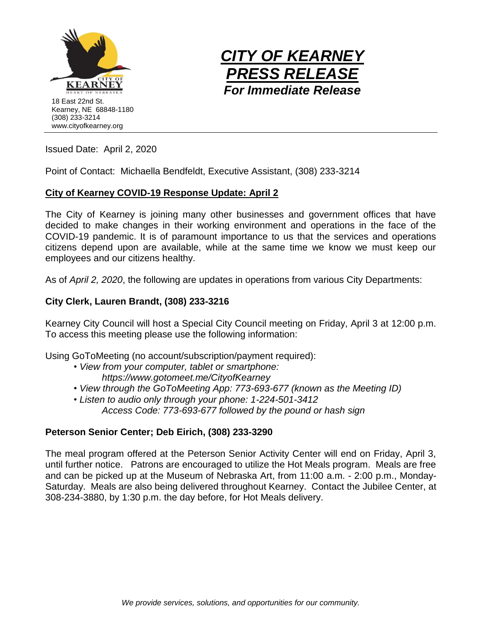



Issued Date: April 2, 2020

Point of Contact: Michaella Bendfeldt, Executive Assistant, (308) 233-3214

## **City of Kearney COVID-19 Response Update: April 2**

The City of Kearney is joining many other businesses and government offices that have decided to make changes in their working environment and operations in the face of the COVID-19 pandemic. It is of paramount importance to us that the services and operations citizens depend upon are available, while at the same time we know we must keep our employees and our citizens healthy.

As of *April 2, 2020*, the following are updates in operations from various City Departments:

# **City Clerk, Lauren Brandt, (308) 233-3216**

Kearney City Council will host a Special City Council meeting on Friday, April 3 at 12:00 p.m. To access this meeting please use the following information:

Using GoToMeeting (no account/subscription/payment required):

- *• View from your computer, tablet or smartphone: https://www.gotomeet.me/CityofKearney*
- *• View through the GoToMeeting App: 773-693-677 (known as the Meeting ID)*
- *• Listen to audio only through your phone: 1-224-501-3412 Access Code: 773-693-677 followed by the pound or hash sign*

## **Peterson Senior Center; Deb Eirich, (308) 233-3290**

The meal program offered at the Peterson Senior Activity Center will end on Friday, April 3, until further notice. Patrons are encouraged to utilize the Hot Meals program. Meals are free and can be picked up at the Museum of Nebraska Art, from 11:00 a.m. - 2:00 p.m., Monday-Saturday. Meals are also being delivered throughout Kearney. Contact the Jubilee Center, at 308-234-3880, by 1:30 p.m. the day before, for Hot Meals delivery.